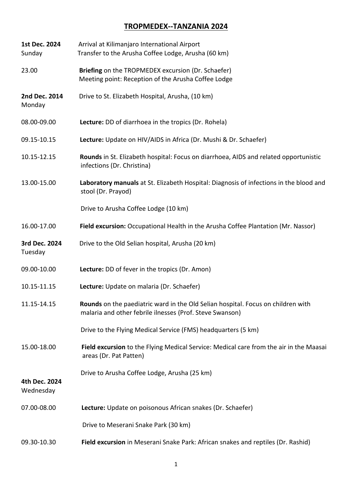## **TROPMEDEX--TANZANIA 2024**

| 1st Dec. 2024<br>Sunday    | Arrival at Kilimanjaro International Airport<br>Transfer to the Arusha Coffee Lodge, Arusha (60 km)                                          |
|----------------------------|----------------------------------------------------------------------------------------------------------------------------------------------|
| 23.00                      | Briefing on the TROPMEDEX excursion (Dr. Schaefer)<br>Meeting point: Reception of the Arusha Coffee Lodge                                    |
| 2nd Dec. 2014<br>Monday    | Drive to St. Elizabeth Hospital, Arusha, (10 km)                                                                                             |
| 08.00-09.00                | Lecture: DD of diarrhoea in the tropics (Dr. Rohela)                                                                                         |
| 09.15-10.15                | Lecture: Update on HIV/AIDS in Africa (Dr. Mushi & Dr. Schaefer)                                                                             |
| 10.15-12.15                | Rounds in St. Elizabeth hospital: Focus on diarrhoea, AIDS and related opportunistic<br>infections (Dr. Christina)                           |
| 13.00-15.00                | Laboratory manuals at St. Elizabeth Hospital: Diagnosis of infections in the blood and<br>stool (Dr. Prayod)                                 |
|                            | Drive to Arusha Coffee Lodge (10 km)                                                                                                         |
| 16.00-17.00                | Field excursion: Occupational Health in the Arusha Coffee Plantation (Mr. Nassor)                                                            |
| 3rd Dec. 2024<br>Tuesday   | Drive to the Old Selian hospital, Arusha (20 km)                                                                                             |
| 09.00-10.00                | Lecture: DD of fever in the tropics (Dr. Amon)                                                                                               |
| 10.15-11.15                | Lecture: Update on malaria (Dr. Schaefer)                                                                                                    |
| 11.15-14.15                | Rounds on the paediatric ward in the Old Selian hospital. Focus on children with<br>malaria and other febrile ilnesses (Prof. Steve Swanson) |
|                            | Drive to the Flying Medical Service (FMS) headquarters (5 km)                                                                                |
| 15.00-18.00                | Field excursion to the Flying Medical Service: Medical care from the air in the Maasai<br>areas (Dr. Pat Patten)                             |
| 4th Dec. 2024<br>Wednesday | Drive to Arusha Coffee Lodge, Arusha (25 km)                                                                                                 |
| 07.00-08.00                | Lecture: Update on poisonous African snakes (Dr. Schaefer)                                                                                   |
|                            | Drive to Meserani Snake Park (30 km)                                                                                                         |
| 09.30-10.30                | Field excursion in Meserani Snake Park: African snakes and reptiles (Dr. Rashid)                                                             |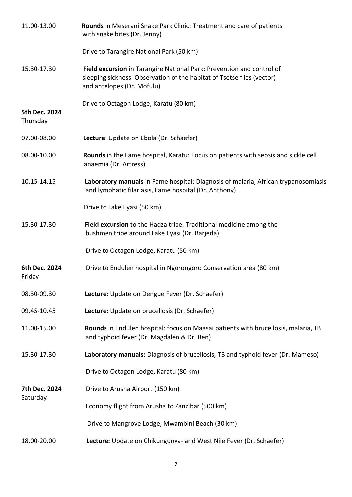| 11.00-13.00               | Rounds in Meserani Snake Park Clinic: Treatment and care of patients<br>with snake bites (Dr. Jenny)                                                                          |
|---------------------------|-------------------------------------------------------------------------------------------------------------------------------------------------------------------------------|
|                           | Drive to Tarangire National Park (50 km)                                                                                                                                      |
| 15.30-17.30               | Field excursion in Tarangire National Park: Prevention and control of<br>sleeping sickness. Observation of the habitat of Tsetse flies (vector)<br>and antelopes (Dr. Mofulu) |
| 5th Dec. 2024<br>Thursday | Drive to Octagon Lodge, Karatu (80 km)                                                                                                                                        |
| 07.00-08.00               | Lecture: Update on Ebola (Dr. Schaefer)                                                                                                                                       |
| 08.00-10.00               | Rounds in the Fame hospital, Karatu: Focus on patients with sepsis and sickle cell<br>anaemia (Dr. Artress)                                                                   |
| 10.15-14.15               | Laboratory manuals in Fame hospital: Diagnosis of malaria, African trypanosomiasis<br>and lymphatic filariasis, Fame hospital (Dr. Anthony)                                   |
|                           | Drive to Lake Eyasi (50 km)                                                                                                                                                   |
| 15.30-17.30               | Field excursion to the Hadza tribe. Traditional medicine among the<br>bushmen tribe around Lake Eyasi (Dr. Barjeda)                                                           |
|                           | Drive to Octagon Lodge, Karatu (50 km)                                                                                                                                        |
| 6th Dec. 2024<br>Friday   | Drive to Endulen hospital in Ngorongoro Conservation area (80 km)                                                                                                             |
| 08.30-09.30               | Lecture: Update on Dengue Fever (Dr. Schaefer)                                                                                                                                |
| 09.45-10.45               | Lecture: Update on brucellosis (Dr. Schaefer)                                                                                                                                 |
| 11.00-15.00               | Rounds in Endulen hospital: focus on Maasai patients with brucellosis, malaria, TB<br>and typhoid fever (Dr. Magdalen & Dr. Ben)                                              |
| 15.30-17.30               | Laboratory manuals: Diagnosis of brucellosis, TB and typhoid fever (Dr. Mameso)                                                                                               |
|                           | Drive to Octagon Lodge, Karatu (80 km)                                                                                                                                        |
| 7th Dec. 2024<br>Saturday | Drive to Arusha Airport (150 km)                                                                                                                                              |
|                           | Economy flight from Arusha to Zanzibar (500 km)                                                                                                                               |
|                           | Drive to Mangrove Lodge, Mwambini Beach (30 km)                                                                                                                               |
| 18.00-20.00               | Lecture: Update on Chikungunya- and West Nile Fever (Dr. Schaefer)                                                                                                            |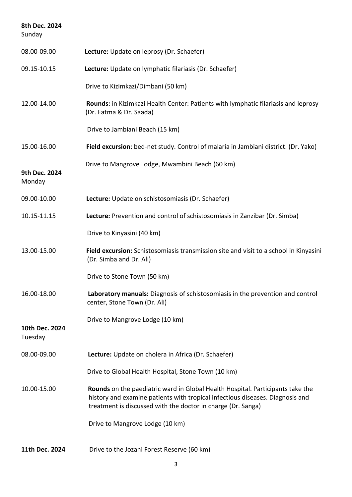| 8th Dec. 2024<br>Sunday   |                                                                                                                                                                                                                                 |
|---------------------------|---------------------------------------------------------------------------------------------------------------------------------------------------------------------------------------------------------------------------------|
| 08.00-09.00               | Lecture: Update on leprosy (Dr. Schaefer)                                                                                                                                                                                       |
| 09.15-10.15               | Lecture: Update on lymphatic filariasis (Dr. Schaefer)                                                                                                                                                                          |
|                           | Drive to Kizimkazi/Dimbani (50 km)                                                                                                                                                                                              |
| 12.00-14.00               | Rounds: in Kizimkazi Health Center: Patients with lymphatic filariasis and leprosy<br>(Dr. Fatma & Dr. Saada)                                                                                                                   |
|                           | Drive to Jambiani Beach (15 km)                                                                                                                                                                                                 |
| 15.00-16.00               | Field excursion: bed-net study. Control of malaria in Jambiani district. (Dr. Yako)                                                                                                                                             |
| 9th Dec. 2024<br>Monday   | Drive to Mangrove Lodge, Mwambini Beach (60 km)                                                                                                                                                                                 |
| 09.00-10.00               | Lecture: Update on schistosomiasis (Dr. Schaefer)                                                                                                                                                                               |
| 10.15-11.15               | Lecture: Prevention and control of schistosomiasis in Zanzibar (Dr. Simba)                                                                                                                                                      |
|                           | Drive to Kinyasini (40 km)                                                                                                                                                                                                      |
| 13.00-15.00               | Field excursion: Schistosomiasis transmission site and visit to a school in Kinyasini<br>(Dr. Simba and Dr. Ali)                                                                                                                |
|                           | Drive to Stone Town (50 km)                                                                                                                                                                                                     |
| 16.00-18.00               | Laboratory manuals: Diagnosis of schistosomiasis in the prevention and control<br>center, Stone Town (Dr. Ali)                                                                                                                  |
| 10th Dec. 2024<br>Tuesday | Drive to Mangrove Lodge (10 km)                                                                                                                                                                                                 |
| 08.00-09.00               | Lecture: Update on cholera in Africa (Dr. Schaefer)                                                                                                                                                                             |
|                           | Drive to Global Health Hospital, Stone Town (10 km)                                                                                                                                                                             |
| 10.00-15.00               | Rounds on the paediatric ward in Global Health Hospital. Participants take the<br>history and examine patients with tropical infectious diseases. Diagnosis and<br>treatment is discussed with the doctor in charge (Dr. Sanga) |
|                           | Drive to Mangrove Lodge (10 km)                                                                                                                                                                                                 |
| 11th Dec. 2024            | Drive to the Jozani Forest Reserve (60 km)                                                                                                                                                                                      |